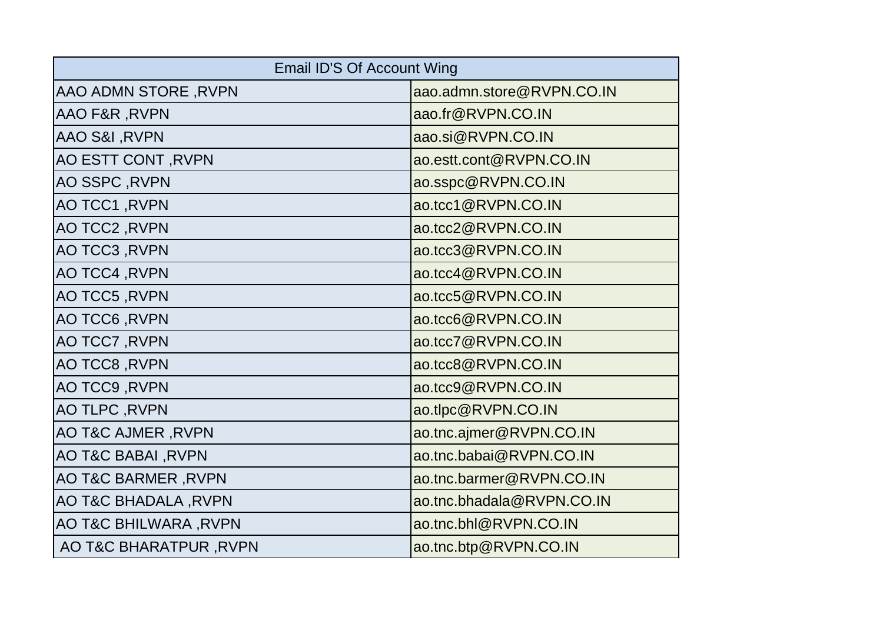| <b>Email ID'S Of Account Wing</b> |                           |  |
|-----------------------------------|---------------------------|--|
| AAO ADMN STORE, RVPN              | aao.admn.store@RVPN.CO.IN |  |
| <b>AAO F&amp;R, RVPN</b>          | aao.fr@RVPN.CO.IN         |  |
| AAO S&I, RVPN                     | aao.si@RVPN.CO.IN         |  |
| AO ESTT CONT, RVPN                | ao.estt.cont@RVPN.CO.IN   |  |
| AO SSPC, RVPN                     | ao.sspc@RVPN.CO.IN        |  |
| AO TCC1, RVPN                     | ao.tcc1@RVPN.CO.IN        |  |
| AO TCC2, RVPN                     | ao.tcc2@RVPN.CO.IN        |  |
| AO TCC3, RVPN                     | ao.tcc3@RVPN.CO.IN        |  |
| AO TCC4, RVPN                     | ao.tcc4@RVPN.CO.IN        |  |
| AO TCC5, RVPN                     | ao.tcc5@RVPN.CO.IN        |  |
| AO TCC6, RVPN                     | ao.tcc6@RVPN.CO.IN        |  |
| AO TCC7, RVPN                     | ao.tcc7@RVPN.CO.IN        |  |
| AO TCC8, RVPN                     | ao.tcc8@RVPN.CO.IN        |  |
| AO TCC9, RVPN                     | ao.tcc9@RVPN.CO.IN        |  |
| AO TLPC, RVPN                     | ao.tlpc@RVPN.CO.IN        |  |
| <b>AO T&amp;C AJMER, RVPN</b>     | ao.tnc.ajmer@RVPN.CO.IN   |  |
| AO T&C BABAI, RVPN                | ao.tnc.babai@RVPN.CO.IN   |  |
| AO T&C BARMER, RVPN               | ao.tnc.barmer@RVPN.CO.IN  |  |
| AO T&C BHADALA, RVPN              | ao.tnc.bhadala@RVPN.CO.IN |  |
| AO T&C BHILWARA, RVPN             | ao.tnc.bhl@RVPN.CO.IN     |  |
| AO T&C BHARATPUR, RVPN            | ao.tnc.btp@RVPN.CO.IN     |  |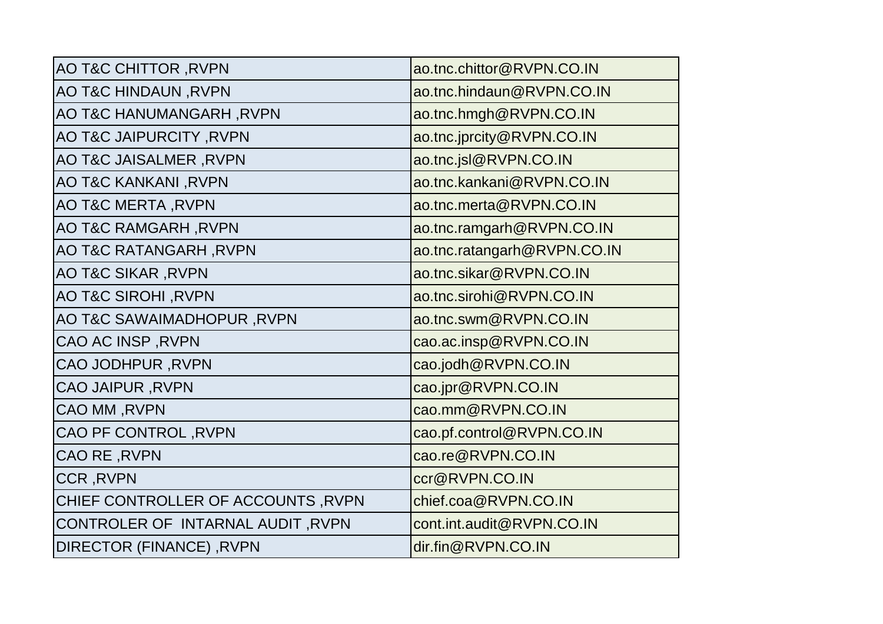| <b>AO T&amp;C CHITTOR, RVPN</b>    | ao.tnc.chittor@RVPN.CO.IN   |
|------------------------------------|-----------------------------|
| AO T&C HINDAUN, RVPN               | ao.tnc.hindaun@RVPN.CO.IN   |
| AO T&C HANUMANGARH, RVPN           | ao.tnc.hmgh@RVPN.CO.IN      |
| <b>AO T&amp;C JAIPURCITY, RVPN</b> | ao.tnc.jprcity@RVPN.CO.IN   |
| AO T&C JAISALMER, RVPN             | ao.tnc.jsl@RVPN.CO.IN       |
| AO T&C KANKANI, RVPN               | ao.tnc.kankani@RVPN.CO.IN   |
| AO T&C MERTA, RVPN                 | ao.tnc.merta@RVPN.CO.IN     |
| <b>AO T&amp;C RAMGARH, RVPN</b>    | ao.tnc.ramgarh@RVPN.CO.IN   |
| AO T&C RATANGARH, RVPN             | ao.tnc.ratangarh@RVPN.CO.IN |
| <b>AO T&amp;C SIKAR, RVPN</b>      | ao.tnc.sikar@RVPN.CO.IN     |
| AO T&C SIROHI, RVPN                | ao.tnc.sirohi@RVPN.CO.IN    |
| AO T&C SAWAIMADHOPUR, RVPN         | ao.tnc.swm@RVPN.CO.IN       |
| CAO AC INSP, RVPN                  | cao.ac.insp@RVPN.CO.IN      |
| <b>CAO JODHPUR, RVPN</b>           | cao.jodh@RVPN.CO.IN         |
| <b>CAO JAIPUR, RVPN</b>            | cao.jpr@RVPN.CO.IN          |
| CAO MM, RVPN                       | cao.mm@RVPN.CO.IN           |
| CAO PF CONTROL, RVPN               | cao.pf.control@RVPN.CO.IN   |
| CAO RE, RVPN                       | cao.re@RVPN.CO.IN           |
| <b>CCR, RVPN</b>                   | ccr@RVPN.CO.IN              |
| CHIEF CONTROLLER OF ACCOUNTS, RVPN | chief.coa@RVPN.CO.IN        |
| CONTROLER OF INTARNAL AUDIT, RVPN  | cont.int.audit@RVPN.CO.IN   |
| DIRECTOR (FINANCE), RVPN           | dir.fin@RVPN.CO.IN          |